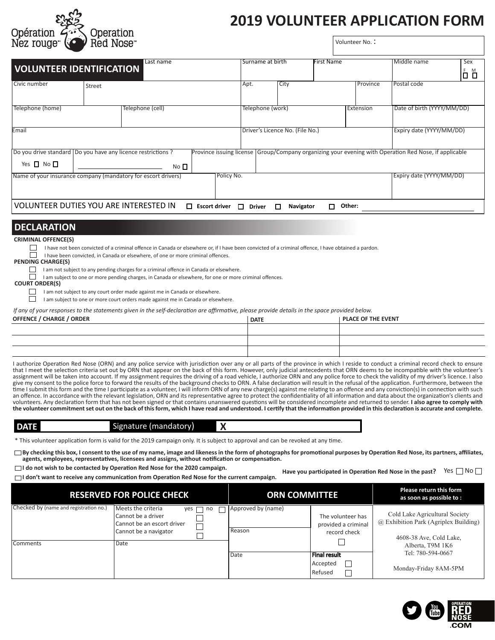

# **2019 VOLUNTEER APPLICATION FORM**

Volunteer No. :

| Last name<br><b>VOLUNTEER IDENTIFICATION</b> |        |                                                                               |                               | Surname at birth                |                            | First Name          |    | Middle name              | Sex<br>F 8                                                                                            |  |
|----------------------------------------------|--------|-------------------------------------------------------------------------------|-------------------------------|---------------------------------|----------------------------|---------------------|----|--------------------------|-------------------------------------------------------------------------------------------------------|--|
| Civic number                                 | Street |                                                                               |                               | Apt.                            |                            | City                |    | Province                 | Postal code                                                                                           |  |
| Telephone (home)<br>Telephone (cell)         |        |                                                                               | Telephone (work)<br>Extension |                                 | Date of birth (YYYY/MM/DD) |                     |    |                          |                                                                                                       |  |
| Email                                        |        |                                                                               |                               | Driver's Licence No. (File No.) |                            |                     |    | Expiry date (YYYY/MM/DD) |                                                                                                       |  |
| Yes $\Box$ No $\Box$                         |        | Do you drive standard   Do you have any licence restrictions ?<br>$No$ $\Box$ |                               |                                 |                            |                     |    |                          | Province issuing license Group/Company organizing your evening with Operation Red Nose, if applicable |  |
|                                              |        | Name of your insurance company (mandatory for escort drivers)                 |                               | Policy No.                      |                            |                     |    |                          | Expiry date (YYYY/MM/DD)                                                                              |  |
|                                              |        | VOLUNTEER DUTIES YOU ARE INTERESTED IN                                        | п.<br><b>Escort driver</b>    | п                               | <b>Driver</b>              | Navigator<br>$\Box$ | П. | Other:                   |                                                                                                       |  |

## **DECLARATION**

#### **CRIMINAL OFFENCE(S)**

I have not been convicted of a criminal offence in Canada or elsewhere or, if I have been convicted of a criminal offence, I have obtained a pardon.

I have been convicted, in Canada or elsewhere, of one or more criminal offences.

### **PENDING CHARGE(S)**

I am not subject to any pending charges for a criminal offence in Canada or elsewhere.

 $\Box$ I am subject to one or more pending charges, in Canada or elsewhere, for one or more criminal offences.

### **COURT ORDER(S)**

I am not subject to any court order made against me in Canada or elsewhere.

 $\Box$  I am subject to one or more court orders made against me in Canada or elsewhere.

*If any of your responses to the statements given in the self-declaration are affirmative, please provide details in the space provided below.*

| <b>OFFENCE / CHARGE / ORDER</b> | <b>DATE</b> | <b>PLACE OF THE EVENT</b> |
|---------------------------------|-------------|---------------------------|
|                                 |             |                           |
|                                 |             |                           |
|                                 |             |                           |

I authorize Operation Red Nose (ORN) and any police service with jurisdiction over any or all parts of the province in which I reside to conduct a criminal record check to ensure that I meet the selection criteria set out by ORN that appear on the back of this form. However, only judicial antecedents that ORN deems to be incompatible with the volunteer's assignment will be taken into account. If my assignment requires the driving of a road vehicle, I authorize ORN and any police force to check the validity of my driver's licence. I also give my consent to the police force to forward the results of the background checks to ORN. A false declaration will result in the refusal of the application. Furthermore, between the time I submit this form and the time I participate as a volunteer, I will inform ORN of any new charge(s) against me relating to an offence and any conviction(s) in connection with such an offence. In accordance with the relevant legislation, ORN and its representative agree to protect the confidentiality of all information and data about the organization's clients and volunteers. Any declaration form that has not been signed or that contains unanswered questions will be considered incomplete and returned to sender. **I also agree to comply with the volunteer commitment set out on the back of this form, which I have read and understood. I certify that the information provided in this declaration is accurate and complete.**

#### **DATE** Signature (mandatory)

\* This volunteer application form is valid for the 2019 campaign only. It is subject to approval and can be revoked at any time.

**By checking this box, I consent to the use of my name, image and likeness in the form of photographs for promotional purposes by Operation Red Nose, its partners, affiliates, agents, employees, representatives, licensees and assigns, without notification or compensation.**

**X**

**I do not wish to be contacted by Operation Red Nose for the 2020 campaign.**

**I don't want to receive any communication from Operation Red Nose for the current campaign. Have you participated in Operation Red Nose in the past?** Yes  $\Box$  No  $\Box$ 

|                                                    | <b>RESERVED FOR POLICE CHECK</b>                                                                                     | <b>ORN COMMITTEE</b>         |                                                          | Please return this form<br>as soon as possible to:                                                                     |
|----------------------------------------------------|----------------------------------------------------------------------------------------------------------------------|------------------------------|----------------------------------------------------------|------------------------------------------------------------------------------------------------------------------------|
| Checked by (name and registration no.)<br>Comments | Meets the criteria<br>ves<br>no<br>Cannot be a driver<br>Cannot be an escort driver<br>Cannot be a navigator<br>Date | Approved by (name)<br>Reason | The volunteer has<br>provided a criminal<br>record check | Cold Lake Agricultural Society<br>@ Exhibition Park (Agriplex Building)<br>4608-38 Ave, Cold Lake,<br>Alberta, T9M 1K6 |
|                                                    |                                                                                                                      | Date                         | <b>Final result</b><br>Accepted<br>Refused               | Tel: 780-594-0667<br>Monday-Friday 8AM-5PM                                                                             |